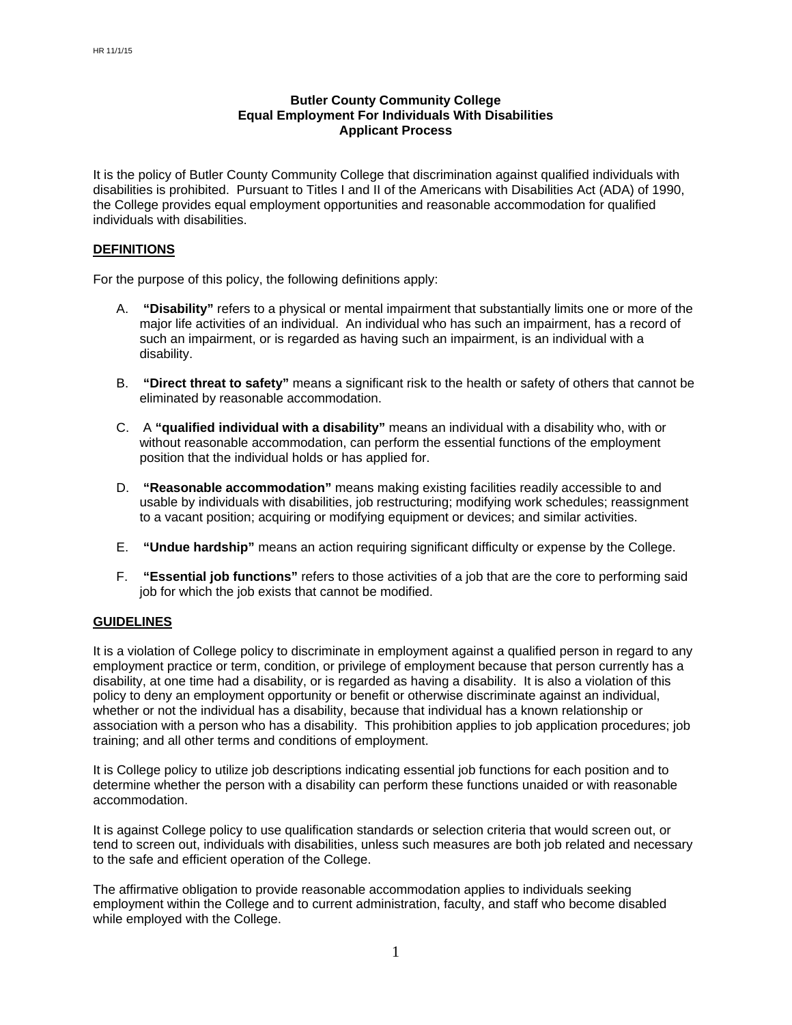# **Butler County Community College Equal Employment For Individuals With Disabilities Applicant Process**

It is the policy of Butler County Community College that discrimination against qualified individuals with disabilities is prohibited. Pursuant to Titles I and II of the Americans with Disabilities Act (ADA) of 1990, the College provides equal employment opportunities and reasonable accommodation for qualified individuals with disabilities.

## **DEFINITIONS**

For the purpose of this policy, the following definitions apply:

- A. **"Disability"** refers to a physical or mental impairment that substantially limits one or more of the major life activities of an individual. An individual who has such an impairment, has a record of such an impairment, or is regarded as having such an impairment, is an individual with a disability.
- B. **"Direct threat to safety"** means a significant risk to the health or safety of others that cannot be eliminated by reasonable accommodation.
- C. A **"qualified individual with a disability"** means an individual with a disability who, with or without reasonable accommodation, can perform the essential functions of the employment position that the individual holds or has applied for.
- D. **"Reasonable accommodation"** means making existing facilities readily accessible to and usable by individuals with disabilities, job restructuring; modifying work schedules; reassignment to a vacant position; acquiring or modifying equipment or devices; and similar activities.
- E. **"Undue hardship"** means an action requiring significant difficulty or expense by the College.
- F. **"Essential job functions"** refers to those activities of a job that are the core to performing said job for which the job exists that cannot be modified.

#### **GUIDELINES**

It is a violation of College policy to discriminate in employment against a qualified person in regard to any employment practice or term, condition, or privilege of employment because that person currently has a disability, at one time had a disability, or is regarded as having a disability. It is also a violation of this policy to deny an employment opportunity or benefit or otherwise discriminate against an individual, whether or not the individual has a disability, because that individual has a known relationship or association with a person who has a disability. This prohibition applies to job application procedures; job training; and all other terms and conditions of employment.

It is College policy to utilize job descriptions indicating essential job functions for each position and to determine whether the person with a disability can perform these functions unaided or with reasonable accommodation.

It is against College policy to use qualification standards or selection criteria that would screen out, or tend to screen out, individuals with disabilities, unless such measures are both job related and necessary to the safe and efficient operation of the College.

The affirmative obligation to provide reasonable accommodation applies to individuals seeking employment within the College and to current administration, faculty, and staff who become disabled while employed with the College.